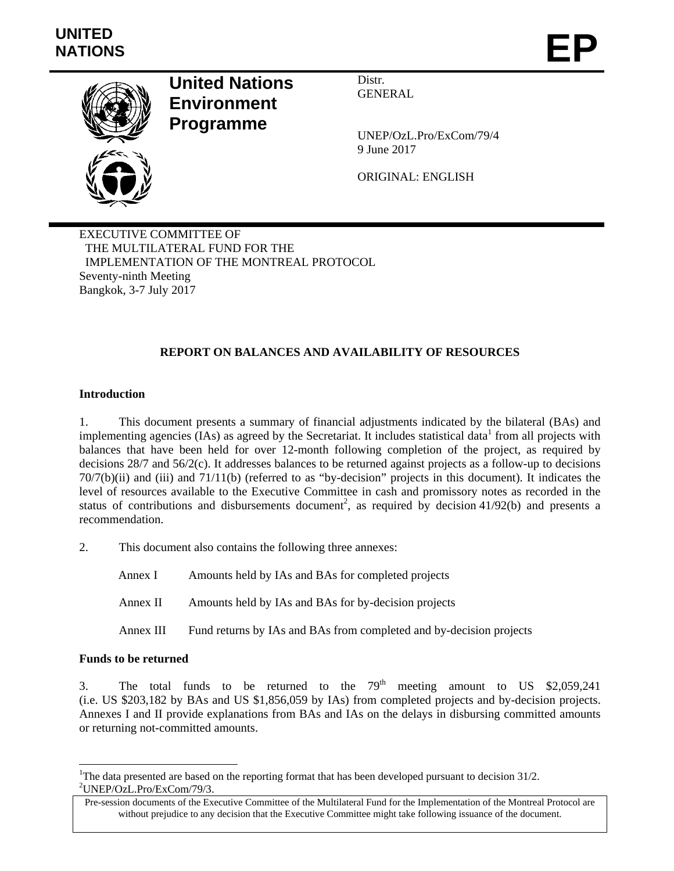

## **United Nations Environment Programme**

Distr. GENERAL

UNEP/OzL.Pro/ExCom/79/4 9 June 2017

ORIGINAL: ENGLISH

EXECUTIVE COMMITTEE OF THE MULTILATERAL FUND FOR THE IMPLEMENTATION OF THE MONTREAL PROTOCOL Seventy-ninth Meeting Bangkok, 3-7 July 2017

### **REPORT ON BALANCES AND AVAILABILITY OF RESOURCES**

#### **Introduction**

1. This document presents a summary of financial adjustments indicated by the bilateral (BAs) and implementing agencies  $(IAs)$  as agreed by the Secretariat. It includes statistical data from all projects with balances that have been held for over 12-month following completion of the project, as required by decisions 28/7 and 56/2(c). It addresses balances to be returned against projects as a follow-up to decisions 70/7(b)(ii) and (iii) and 71/11(b) (referred to as "by-decision" projects in this document). It indicates the level of resources available to the Executive Committee in cash and promissory notes as recorded in the status of contributions and disbursements document<sup>2</sup>, as required by decision  $41/92(b)$  and presents a recommendation.

2. This document also contains the following three annexes:

Annex I Amounts held by IAs and BAs for completed projects Annex II Amounts held by IAs and BAs for by-decision projects Annex III Fund returns by IAs and BAs from completed and by-decision projects

#### **Funds to be returned**

-

3. The total funds to be returned to the  $79<sup>th</sup>$  meeting amount to US \$2,059,241 (i.e. US \$203,182 by BAs and US \$1,856,059 by IAs) from completed projects and by-decision projects. Annexes I and II provide explanations from BAs and IAs on the delays in disbursing committed amounts or returning not-committed amounts.

<sup>&</sup>lt;sup>1</sup>The data presented are based on the reporting format that has been developed pursuant to decision  $31/2$ . 2 UNEP/OzL.Pro/ExCom/79/3.

Pre-session documents of the Executive Committee of the Multilateral Fund for the Implementation of the Montreal Protocol are without prejudice to any decision that the Executive Committee might take following issuance of the document.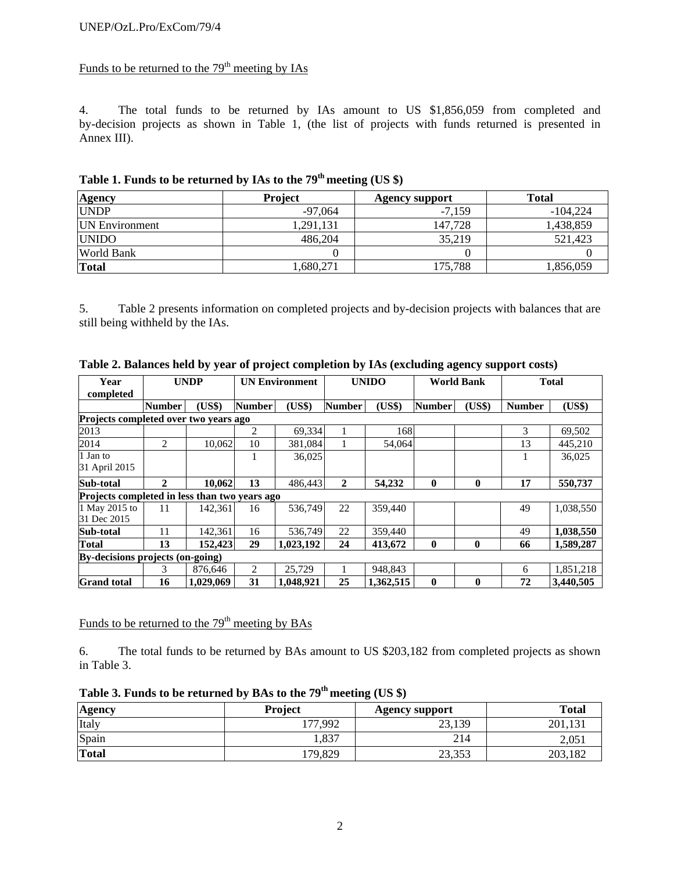## Funds to be returned to the  $79<sup>th</sup>$  meeting by IAs

4. The total funds to be returned by IAs amount to US \$1,856,059 from completed and by-decision projects as shown in Table 1, (the list of projects with funds returned is presented in Annex III).

| <b>Agency</b>          | <b>Project</b> | <b>Agency support</b> | <b>Total</b> |
|------------------------|----------------|-----------------------|--------------|
| <b>UNDP</b>            | $-97.064$      | $-7.159$              | $-104.224$   |
| <b>IIN Environment</b> | 1,291,131      | 147.728               | 1,438,859    |
| <b>UNIDO</b>           | 486,204        | 35.219                | 521.423      |
| <b>World Bank</b>      |                |                       |              |
| Total                  | 1,680,271      | 175,788               | 1,856,059    |

# **Table 1. Funds to be returned by IAs to the 79th meeting (US \$)**

5. Table 2 presents information on completed projects and by-decision projects with balances that are still being withheld by the IAs.

| Year<br>completed                             | <b>UNDP</b>    |           | <b>UN Environment</b> |           |               | <b>UNIDO</b> | <b>World Bank</b> |              |               | <b>Total</b> |  |
|-----------------------------------------------|----------------|-----------|-----------------------|-----------|---------------|--------------|-------------------|--------------|---------------|--------------|--|
|                                               | <b>Number</b>  | (US\$)    | <b>Number</b>         | (US\$)    | <b>Number</b> | (US\$)       | <b>Number</b>     | (US\$)       | <b>Number</b> | (US\$)       |  |
| <b>Projects completed over two vears ago</b>  |                |           |                       |           |               |              |                   |              |               |              |  |
| 2013                                          |                |           | 2                     | 69,334    |               | 168          |                   |              | 3             | 69,502       |  |
| 2014                                          | $\overline{c}$ | 10.062    | 10                    | 381.084   |               | 54,064       |                   |              | 13            | 445.210      |  |
| 1 Jan to<br>31 April 2015                     |                |           |                       | 36,025    |               |              |                   |              |               | 36,025       |  |
| Sub-total                                     | $\mathbf{2}$   | 10,062    | 13                    | 486,443   | $\mathbf{2}$  | 54,232       | $\mathbf{0}$      | $\mathbf{0}$ | 17            | 550,737      |  |
| Projects completed in less than two years ago |                |           |                       |           |               |              |                   |              |               |              |  |
| 1 May 2015 to<br>31 Dec 2015                  | 11             | 142.361   | 16                    | 536.749   | 22            | 359,440      |                   |              | 49            | 1,038,550    |  |
| Sub-total                                     | 11             | 142,361   | 16                    | 536,749   | 22            | 359,440      |                   |              | 49            | 1,038,550    |  |
| <b>Total</b>                                  | 13             | 152,423   | 29                    | 1,023,192 | 24            | 413,672      | $\bf{0}$          | 0            | 66            | 1.589,287    |  |
| By-decisions projects (on-going)              |                |           |                       |           |               |              |                   |              |               |              |  |
|                                               | 3              | 876.646   | 2                     | 25,729    |               | 948,843      |                   |              | 6             | 1,851,218    |  |
| <b>Grand</b> total                            | 16             | 1,029,069 | 31                    | 1,048,921 | 25            | 1,362,515    | $\mathbf{0}$      | 0            | 72            | 3,440,505    |  |

| Table 2. Balances held by year of project completion by IAs (excluding agency support costs) |  |  |  |
|----------------------------------------------------------------------------------------------|--|--|--|
|                                                                                              |  |  |  |

Funds to be returned to the  $79<sup>th</sup>$  meeting by BAs

6. The total funds to be returned by BAs amount to US \$203,182 from completed projects as shown in Table 3.

| Table 3. Funds to be returned by BAs to the 79 <sup>th</sup> meeting (US \$) |
|------------------------------------------------------------------------------|
|------------------------------------------------------------------------------|

| <b>Agency</b> | <b>Project</b> | <b>Agency support</b> | <b>Total</b> |  |  |
|---------------|----------------|-----------------------|--------------|--|--|
| Italy         | ,992<br>77     | 23,139                | 201,131      |  |  |
| Spain         | 1,837          | 214                   | 2,051        |  |  |
| <b>Total</b>  | 179,829        | 23,353                | 203,182      |  |  |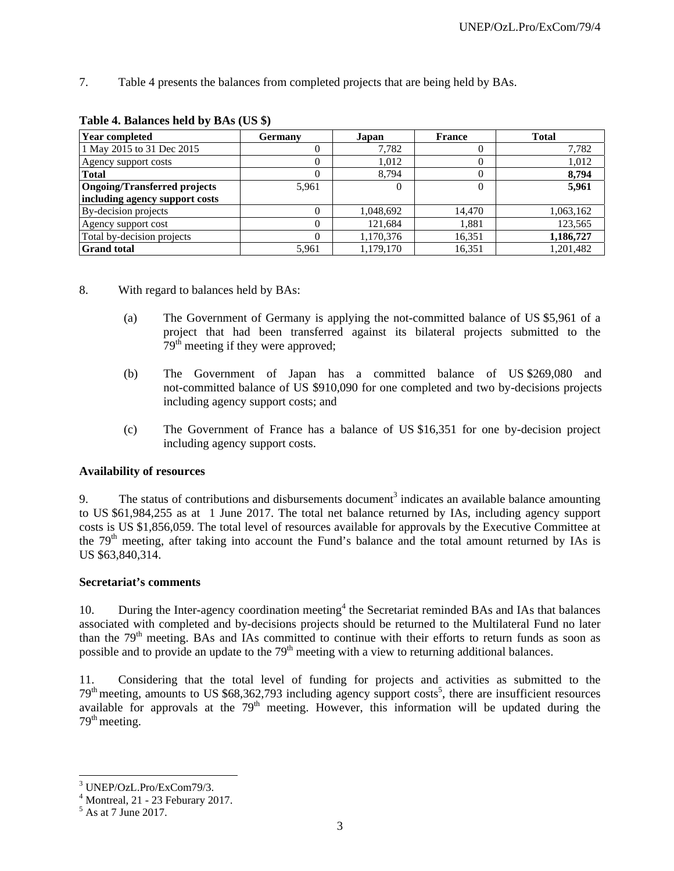7. Table 4 presents the balances from completed projects that are being held by BAs.

| <b>Year completed</b>          | <b>Germany</b> | Japan     | France | <b>Total</b> |
|--------------------------------|----------------|-----------|--------|--------------|
| 1 May 2015 to 31 Dec 2015      |                | 7,782     |        | 7,782        |
| Agency support costs           | 0              | 1,012     |        | 1,012        |
| <b>Total</b>                   |                | 8.794     |        | 8,794        |
| Ongoing/Transferred projects   | 5,961          |           |        | 5,961        |
| including agency support costs |                |           |        |              |
| By-decision projects           |                | 1,048,692 | 14,470 | 1,063,162    |
| Agency support cost            |                | 121,684   | 1.881  | 123,565      |
| Total by-decision projects     |                | 1,170,376 | 16,351 | 1,186,727    |
| <b>Grand</b> total             | 5,961          | 1,179,170 | 16,351 | 1,201,482    |

#### **Table 4. Balances held by BAs (US \$)**

- 8. With regard to balances held by BAs:
	- (a) The Government of Germany is applying the not-committed balance of US \$5,961 of a project that had been transferred against its bilateral projects submitted to the  $79<sup>th</sup>$  meeting if they were approved;
	- (b) The Government of Japan has a committed balance of US \$269,080 and not-committed balance of US \$910,090 for one completed and two by-decisions projects including agency support costs; and
	- (c) The Government of France has a balance of US \$16,351 for one by-decision project including agency support costs.

#### **Availability of resources**

9. The status of contributions and disbursements document<sup>3</sup> indicates an available balance amounting to US \$61,984,255 as at 1 June 2017. The total net balance returned by IAs, including agency support costs is US \$1,856,059. The total level of resources available for approvals by the Executive Committee at the  $79<sup>th</sup>$  meeting, after taking into account the Fund's balance and the total amount returned by IAs is US \$63,840,314.

#### **Secretariat's comments**

10. During the Inter-agency coordination meeting<sup>4</sup> the Secretariat reminded BAs and IAs that balances associated with completed and by-decisions projects should be returned to the Multilateral Fund no later than the 79<sup>th</sup> meeting. BAs and IAs committed to continue with their efforts to return funds as soon as possible and to provide an update to the 79<sup>th</sup> meeting with a view to returning additional balances.

11. Considering that the total level of funding for projects and activities as submitted to the  $79<sup>th</sup>$  meeting, amounts to US \$68,362,793 including agency support costs<sup>5</sup>, there are insufficient resources available for approvals at the  $79<sup>th</sup>$  meeting. However, this information will be updated during the  $79<sup>th</sup> meeting.$ 

l 3 UNEP/OzL.Pro/ExCom79/3.

<sup>4</sup> Montreal, 21 - 23 Feburary 2017.

<sup>&</sup>lt;sup>5</sup> As at 7 June 2017.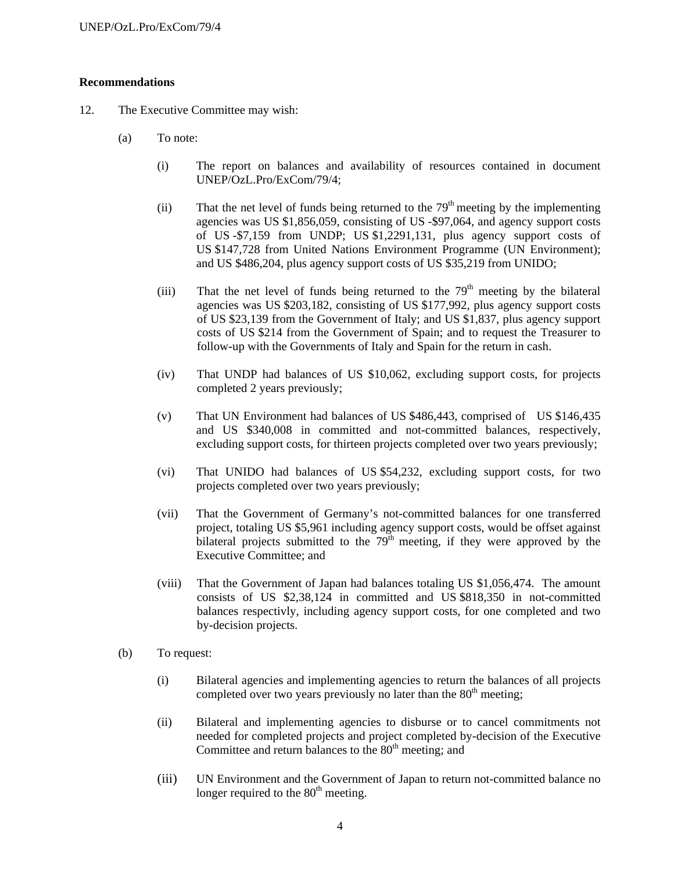#### **Recommendations**

- 12. The Executive Committee may wish:
	- (a) To note:
		- (i) The report on balances and availability of resources contained in document UNEP/OzL.Pro/ExCom/79/4;
		- (ii) That the net level of funds being returned to the  $79<sup>th</sup>$  meeting by the implementing agencies was US \$1,856,059, consisting of US -\$97,064, and agency support costs of US -\$7,159 from UNDP; US \$1,2291,131, plus agency support costs of US \$147,728 from United Nations Environment Programme (UN Environment); and US \$486,204, plus agency support costs of US \$35,219 from UNIDO;
		- (iii) That the net level of funds being returned to the  $79<sup>th</sup>$  meeting by the bilateral agencies was US \$203,182, consisting of US \$177,992, plus agency support costs of US \$23,139 from the Government of Italy; and US \$1,837, plus agency support costs of US \$214 from the Government of Spain; and to request the Treasurer to follow-up with the Governments of Italy and Spain for the return in cash.
		- (iv) That UNDP had balances of US \$10,062, excluding support costs, for projects completed 2 years previously;
		- (v) That UN Environment had balances of US \$486,443, comprised of US \$146,435 and US \$340,008 in committed and not-committed balances, respectively, excluding support costs, for thirteen projects completed over two years previously;
		- (vi) That UNIDO had balances of US \$54,232, excluding support costs, for two projects completed over two years previously;
		- (vii) That the Government of Germany's not-committed balances for one transferred project, totaling US \$5,961 including agency support costs, would be offset against bilateral projects submitted to the  $79<sup>th</sup>$  meeting, if they were approved by the Executive Committee; and
		- (viii) That the Government of Japan had balances totaling US \$1,056,474. The amount consists of US \$2,38,124 in committed and US \$818,350 in not-committed balances respectivly, including agency support costs, for one completed and two by-decision projects.
	- (b) To request:
		- (i) Bilateral agencies and implementing agencies to return the balances of all projects completed over two years previously no later than the  $80<sup>th</sup>$  meeting;
		- (ii) Bilateral and implementing agencies to disburse or to cancel commitments not needed for completed projects and project completed by-decision of the Executive Committee and return balances to the  $80<sup>th</sup>$  meeting; and
		- (iii) UN Environment and the Government of Japan to return not-committed balance no longer required to the  $80<sup>th</sup>$  meeting.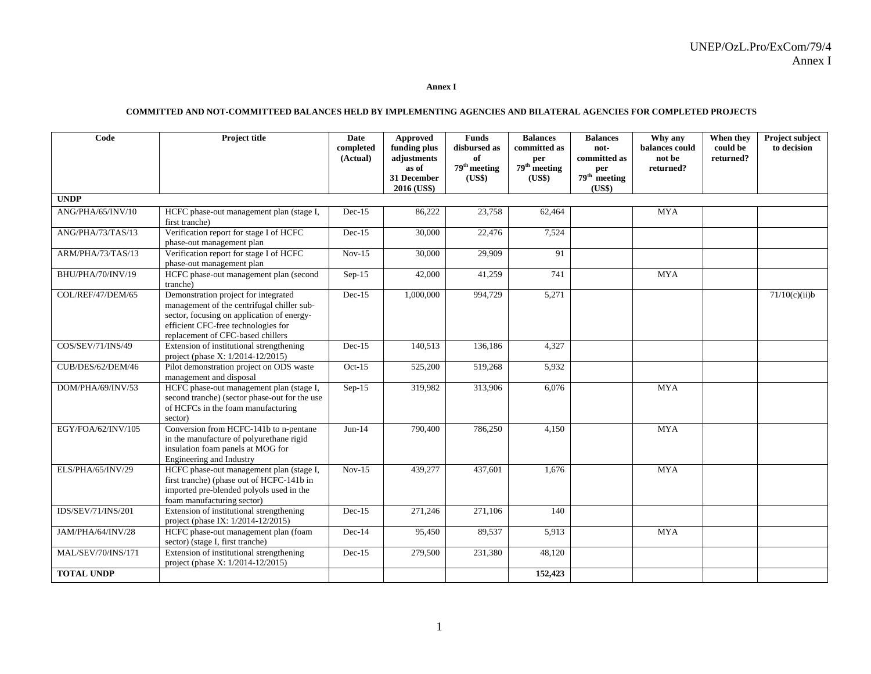**Annex I** 

#### **COMMITTED AND NOT-COMMITTEED BALANCES HELD BY IMPLEMENTING AGENCIES AND BILATERAL AGENCIES FOR COMPLETED PROJECTS**

| Code               | <b>Project title</b>                                                                                                                                                                                         | <b>Date</b><br>completed<br>(Actual) | Approved<br>funding plus<br>adjustments<br>as of | <b>Funds</b><br>disbursed as<br>of<br>$79th$ meeting | <b>Balances</b><br>committed as<br>per<br>$79th$ meeting | <b>Balances</b><br>not-<br>committed as<br>per | Why any<br>balances could<br>not be<br>returned? | When they<br>could be<br>returned? | Project subject<br>to decision |
|--------------------|--------------------------------------------------------------------------------------------------------------------------------------------------------------------------------------------------------------|--------------------------------------|--------------------------------------------------|------------------------------------------------------|----------------------------------------------------------|------------------------------------------------|--------------------------------------------------|------------------------------------|--------------------------------|
|                    |                                                                                                                                                                                                              |                                      | 31 December<br>2016 (US\$)                       | (US\$)                                               | (US\$)                                                   | $79th$ meeting<br>(US\$)                       |                                                  |                                    |                                |
| <b>UNDP</b>        |                                                                                                                                                                                                              |                                      |                                                  |                                                      |                                                          |                                                |                                                  |                                    |                                |
| ANG/PHA/65/INV/10  | HCFC phase-out management plan (stage I,<br>first tranche)                                                                                                                                                   | $Dec-15$                             | 86,222                                           | 23,758                                               | 62,464                                                   |                                                | <b>MYA</b>                                       |                                    |                                |
| ANG/PHA/73/TAS/13  | Verification report for stage I of HCFC<br>phase-out management plan                                                                                                                                         | $Dec-15$                             | 30,000                                           | 22,476                                               | 7,524                                                    |                                                |                                                  |                                    |                                |
| ARM/PHA/73/TAS/13  | Verification report for stage I of HCFC<br>phase-out management plan                                                                                                                                         | $Nov-15$                             | 30,000                                           | 29,909                                               | 91                                                       |                                                |                                                  |                                    |                                |
| BHU/PHA/70/INV/19  | HCFC phase-out management plan (second<br>tranche)                                                                                                                                                           | Sep-15                               | 42,000                                           | 41,259                                               | 741                                                      |                                                | <b>MYA</b>                                       |                                    |                                |
| COL/REF/47/DEM/65  | Demonstration project for integrated<br>management of the centrifugal chiller sub-<br>sector, focusing on application of energy-<br>efficient CFC-free technologies for<br>replacement of CFC-based chillers | $Dec-15$                             | 1,000,000                                        | 994,729                                              | 5,271                                                    |                                                |                                                  |                                    | 71/10(c)(ii)b                  |
| COS/SEV/71/INS/49  | Extension of institutional strengthening<br>project (phase X: 1/2014-12/2015)                                                                                                                                | $Dec-15$                             | 140,513                                          | 136,186                                              | 4,327                                                    |                                                |                                                  |                                    |                                |
| CUB/DES/62/DEM/46  | Pilot demonstration project on ODS waste<br>management and disposal                                                                                                                                          | $Oct-15$                             | 525,200                                          | 519,268                                              | 5,932                                                    |                                                |                                                  |                                    |                                |
| DOM/PHA/69/INV/53  | HCFC phase-out management plan (stage I,<br>second tranche) (sector phase-out for the use<br>of HCFCs in the foam manufacturing<br>sector)                                                                   | $Sep-15$                             | 319,982                                          | 313,906                                              | 6,076                                                    |                                                | <b>MYA</b>                                       |                                    |                                |
| EGY/FOA/62/INV/105 | Conversion from HCFC-141b to n-pentane<br>in the manufacture of polyurethane rigid<br>insulation foam panels at MOG for<br>Engineering and Industry                                                          | $Jun-14$                             | 790,400                                          | 786,250                                              | 4,150                                                    |                                                | <b>MYA</b>                                       |                                    |                                |
| ELS/PHA/65/INV/29  | HCFC phase-out management plan (stage I,<br>first tranche) (phase out of HCFC-141b in<br>imported pre-blended polyols used in the<br>foam manufacturing sector)                                              | $Nov-15$                             | 439,277                                          | 437,601                                              | 1,676                                                    |                                                | <b>MYA</b>                                       |                                    |                                |
| IDS/SEV/71/INS/201 | Extension of institutional strengthening<br>project (phase IX: 1/2014-12/2015)                                                                                                                               | $Dec-15$                             | 271,246                                          | 271,106                                              | 140                                                      |                                                |                                                  |                                    |                                |
| JAM/PHA/64/INV/28  | HCFC phase-out management plan (foam<br>sector) (stage I, first tranche)                                                                                                                                     | $Dec-14$                             | 95,450                                           | 89,537                                               | 5,913                                                    |                                                | <b>MYA</b>                                       |                                    |                                |
| MAL/SEV/70/INS/171 | Extension of institutional strengthening<br>project (phase X: 1/2014-12/2015)                                                                                                                                | $Dec-15$                             | 279,500                                          | $\overline{231,380}$                                 | 48,120                                                   |                                                |                                                  |                                    |                                |
| <b>TOTAL UNDP</b>  |                                                                                                                                                                                                              |                                      |                                                  |                                                      | 152,423                                                  |                                                |                                                  |                                    |                                |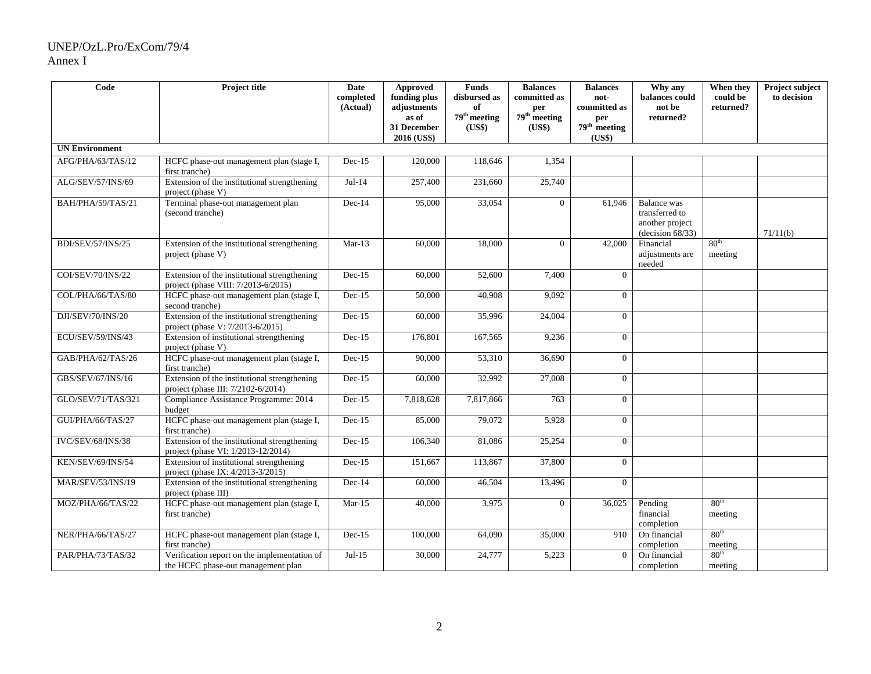#### UNEP/OzL.Pro/ExCom/79/4 Annex I

| Code                     | Project title                                                                       | Date<br>completed<br>(Actual) | <b>Approved</b><br>funding plus<br>adjustments<br>as of<br>31 December<br>2016 (US\$) | <b>Funds</b><br>disbursed as<br>of<br>79 <sup>th</sup> meeting<br>(US\$) | <b>Balances</b><br>committed as<br>per<br>79 <sup>th</sup> meeting<br>(US\$) | <b>Balances</b><br>not-<br>committed as<br>per<br>$79th$ meeting<br>(US\$) | Why any<br>balances could<br>not be<br>returned?                               | When they<br>could be<br>returned? | Project subject<br>to decision |
|--------------------------|-------------------------------------------------------------------------------------|-------------------------------|---------------------------------------------------------------------------------------|--------------------------------------------------------------------------|------------------------------------------------------------------------------|----------------------------------------------------------------------------|--------------------------------------------------------------------------------|------------------------------------|--------------------------------|
| <b>UN Environment</b>    |                                                                                     |                               |                                                                                       |                                                                          |                                                                              |                                                                            |                                                                                |                                    |                                |
| AFG/PHA/63/TAS/12        | HCFC phase-out management plan (stage I,<br>first tranche)                          | $Dec-15$                      | 120,000                                                                               | 118,646                                                                  | 1,354                                                                        |                                                                            |                                                                                |                                    |                                |
| ALG/SEV/57/INS/69        | Extension of the institutional strengthening<br>project (phase V)                   | $Jul-14$                      | 257,400                                                                               | 231,660                                                                  | 25,740                                                                       |                                                                            |                                                                                |                                    |                                |
| BAH/PHA/59/TAS/21        | Terminal phase-out management plan<br>(second tranche)                              | $Dec-14$                      | 95,000                                                                                | 33,054                                                                   | $\Omega$                                                                     | 61,946                                                                     | <b>Balance</b> was<br>transferred to<br>another project<br>(decision $68/33$ ) |                                    | 71/11(b)                       |
| BDI/SEV/57/INS/25        | Extension of the institutional strengthening<br>project (phase V)                   | $Mar-13$                      | 60,000                                                                                | 18,000                                                                   | $\theta$                                                                     | 42,000                                                                     | Financial<br>adjustments are<br>$\rm needed$                                   | 80 <sup>th</sup><br>meeting        |                                |
| COI/SEV/70/INS/22        | Extension of the institutional strengthening<br>project (phase VIII: 7/2013-6/2015) | $Dec-15$                      | 60,000                                                                                | 52,600                                                                   | 7,400                                                                        | $\theta$                                                                   |                                                                                |                                    |                                |
| COL/PHA/66/TAS/80        | HCFC phase-out management plan (stage I,<br>second tranche)                         | $Dec-15$                      | 50,000                                                                                | 40,908                                                                   | 9,092                                                                        | $\Omega$                                                                   |                                                                                |                                    |                                |
| DJI/SEV/70/INS/20        | Extension of the institutional strengthening<br>project (phase V: 7/2013-6/2015)    | $Dec-15$                      | 60,000                                                                                | 35,996                                                                   | 24,004                                                                       | $\Omega$                                                                   |                                                                                |                                    |                                |
| ECU/SEV/59/INS/43        | Extension of institutional strengthening<br>project (phase V)                       | $Dec-15$                      | 176,801                                                                               | 167,565                                                                  | 9,236                                                                        | $\theta$                                                                   |                                                                                |                                    |                                |
| GAB/PHA/62/TAS/26        | HCFC phase-out management plan (stage I,<br>first tranche)                          | $Dec-15$                      | 90,000                                                                                | 53,310                                                                   | 36,690                                                                       | $\Omega$                                                                   |                                                                                |                                    |                                |
| GBS/SEV/67/INS/16        | Extension of the institutional strengthening<br>project (phase III: 7/2102-6/2014)  | $Dec-15$                      | 60,000                                                                                | 32,992                                                                   | 27,008                                                                       | $\Omega$                                                                   |                                                                                |                                    |                                |
| GLO/SEV/71/TAS/321       | Compliance Assistance Programme: 2014<br>budget                                     | $Dec-15$                      | 7,818,628                                                                             | 7,817,866                                                                | 763                                                                          | $\Omega$                                                                   |                                                                                |                                    |                                |
| GUI/PHA/66/TAS/27        | HCFC phase-out management plan (stage I,<br>first tranche)                          | $Dec-15$                      | 85,000                                                                                | 79,072                                                                   | 5,928                                                                        | $\theta$                                                                   |                                                                                |                                    |                                |
| <b>IVC/SEV/68/INS/38</b> | Extension of the institutional strengthening<br>project (phase VI: 1/2013-12/2014)  | $Dec-15$                      | 106,340                                                                               | 81,086                                                                   | 25,254                                                                       | $\Omega$                                                                   |                                                                                |                                    |                                |
| KEN/SEV/69/INS/54        | Extension of institutional strengthening<br>project (phase IX: 4/2013-3/2015)       | $Dec-15$                      | 151,667                                                                               | 113,867                                                                  | 37,800                                                                       | $\Omega$                                                                   |                                                                                |                                    |                                |
| MAR/SEV/53/INS/19        | Extension of the institutional strengthening<br>project (phase III)                 | $Dec-14$                      | 60,000                                                                                | 46,504                                                                   | 13,496                                                                       | $\Omega$                                                                   |                                                                                |                                    |                                |
| MOZ/PHA/66/TAS/22        | HCFC phase-out management plan (stage I,<br>first tranche)                          | $Mar-15$                      | 40,000                                                                                | 3,975                                                                    | $\overline{0}$                                                               | 36,025                                                                     | Pending<br>financial<br>completion                                             | 80 <sup>th</sup><br>meeting        |                                |
| NER/PHA/66/TAS/27        | HCFC phase-out management plan (stage I,<br>first tranche)                          | $Dec-15$                      | 100,000                                                                               | 64,090                                                                   | 35,000                                                                       | 910                                                                        | On financial<br>completion                                                     | 80 <sup>th</sup><br>meeting        |                                |
| PAR/PHA/73/TAS/32        | Verification report on the implementation of<br>the HCFC phase-out management plan  | $Jul-15$                      | 30,000                                                                                | 24,777                                                                   | 5,223                                                                        | $\overline{0}$                                                             | On financial<br>completion                                                     | 80 <sup>th</sup><br>meeting        |                                |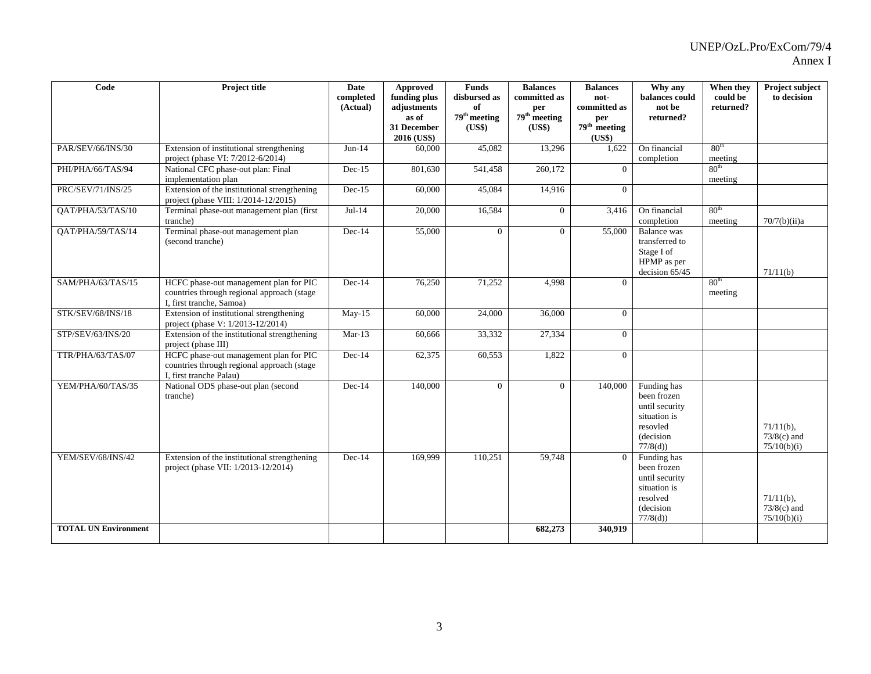| $\overline{\text{Code}}$                         | <b>Project title</b>                                                                                             | Date<br>completed<br>(Actual) | <b>Approved</b><br>funding plus<br>adjustments<br>as of<br>31 December<br>2016 (US\$) | <b>Funds</b><br>disbursed as<br>of<br>$79th$ meeting<br>(US\$) | <b>Balances</b><br>committed as<br>per<br>$79th$ meeting<br>(US\$) | <b>Balances</b><br>not-<br>committed as<br>per<br>$79th$ meeting<br>(US\$) | Why any<br>balances could<br>not be<br>returned?                                                 | When they<br>could be<br>returned? | Project subject<br>to decision               |
|--------------------------------------------------|------------------------------------------------------------------------------------------------------------------|-------------------------------|---------------------------------------------------------------------------------------|----------------------------------------------------------------|--------------------------------------------------------------------|----------------------------------------------------------------------------|--------------------------------------------------------------------------------------------------|------------------------------------|----------------------------------------------|
| PAR/SEV/66/INS/30                                | Extension of institutional strengthening<br>project (phase VI: 7/2012-6/2014)                                    | $Jun-14$                      | 60,000                                                                                | 45,082                                                         | 13,296                                                             | 1,622                                                                      | On financial<br>completion                                                                       | 80 <sup>th</sup><br>meeting        |                                              |
| PHI/PHA/66/TAS/94                                | National CFC phase-out plan: Final<br>implementation plan                                                        | $Dec-15$                      | 801,630                                                                               | 541,458                                                        | 260,172                                                            | $\Omega$                                                                   |                                                                                                  | 80 <sup>th</sup><br>meeting        |                                              |
| PRC/SEV/71/INS/25                                | Extension of the institutional strengthening<br>project (phase VIII: 1/2014-12/2015)                             | $Dec-15$                      | 60,000                                                                                | 45,084                                                         | 14,916                                                             | $\overline{0}$                                                             |                                                                                                  |                                    |                                              |
| QAT/PHA/53/TAS/10                                | Terminal phase-out management plan (first<br>tranche)                                                            | $Jul-14$                      | 20,000                                                                                | 16,584                                                         | $\overline{0}$                                                     | 3,416                                                                      | On financial<br>completion                                                                       | 80 <sup>th</sup><br>meeting        | 70/7(b)(ii)a                                 |
| OAT/PHA/59/TAS/14                                | Terminal phase-out management plan<br>(second tranche)                                                           | $Dec-14$                      | 55,000                                                                                | $\overline{0}$                                                 | $\overline{0}$                                                     | 55,000                                                                     | <b>Balance</b> was<br>transferred to<br>Stage I of<br>HPMP as per<br>decision 65/45              |                                    | 71/11(b)                                     |
| SAM/PHA/63/TAS/15                                | HCFC phase-out management plan for PIC<br>countries through regional approach (stage<br>I, first tranche, Samoa) | $Dec-14$                      | 76,250                                                                                | 71,252                                                         | 4.998                                                              | $\Omega$                                                                   |                                                                                                  | 80 <sup>th</sup><br>meeting        |                                              |
| STK/SEV/68/INS/18                                | Extension of institutional strengthening<br>project (phase V: 1/2013-12/2014)                                    | $May-15$                      | 60,000                                                                                | 24,000                                                         | 36,000                                                             | $\Omega$                                                                   |                                                                                                  |                                    |                                              |
| STP/SEV/63/INS/20                                | Extension of the institutional strengthening<br>project (phase III)                                              | $Mar-13$                      | 60,666                                                                                | 33,332                                                         | 27,334                                                             | $\Omega$                                                                   |                                                                                                  |                                    |                                              |
| TTR/PHA/63/TAS/07                                | HCFC phase-out management plan for PIC<br>countries through regional approach (stage<br>I, first tranche Palau)  | Dec-14                        | 62,375                                                                                | 60,553                                                         | 1,822                                                              | $\Omega$                                                                   |                                                                                                  |                                    |                                              |
| YEM/PHA/60/TAS/35                                | National ODS phase-out plan (second<br>tranche)                                                                  | $Dec-14$                      | 140,000                                                                               | $\overline{0}$                                                 | $\overline{0}$                                                     | 140,000                                                                    | Funding has<br>been frozen<br>until security<br>situation is<br>resovled<br>(decision<br>77/8(d) |                                    | $71/11(b)$ ,<br>$73/8(c)$ and<br>75/10(b)(i) |
| YEM/SEV/68/INS/42<br><b>TOTAL UN Environment</b> | Extension of the institutional strengthening<br>project (phase VII: 1/2013-12/2014)                              | $Dec-14$                      | 169,999                                                                               | 110,251                                                        | 59,748<br>682,273                                                  | $\Omega$<br>340,919                                                        | Funding has<br>been frozen<br>until security<br>situation is<br>resolved<br>(decision<br>77/8(d) |                                    | $71/11(b)$ ,<br>$73/8(c)$ and<br>75/10(b)(i) |
|                                                  |                                                                                                                  |                               |                                                                                       |                                                                |                                                                    |                                                                            |                                                                                                  |                                    |                                              |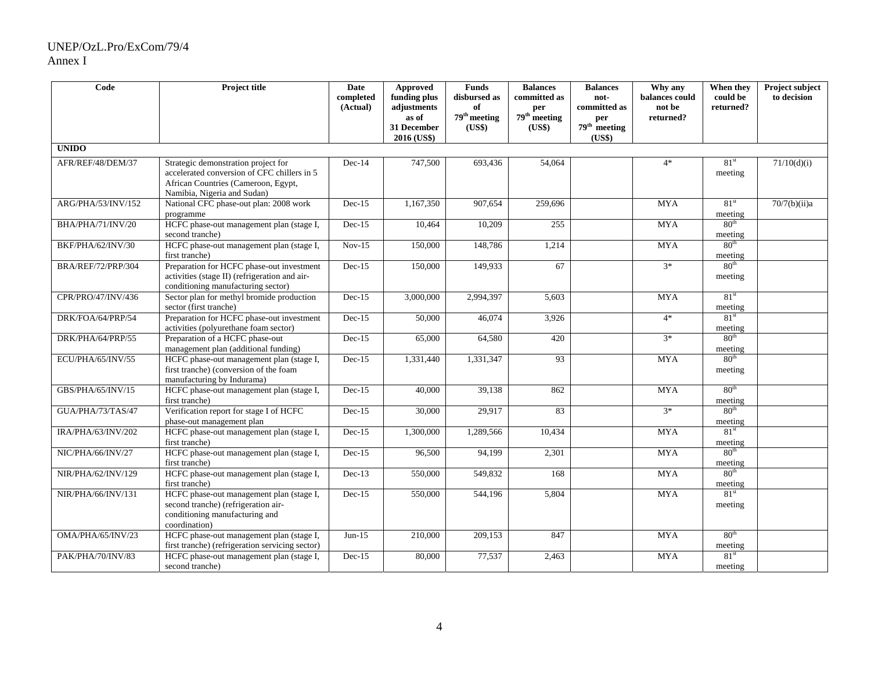#### UNEP/OzL.Pro/ExCom/79/4 Annex I

| $\overline{\text{Code}}$ | Project title                                                                                                                                            | Date<br>completed<br>(Actual) | Approved<br>funding plus<br>adjustments<br>as of<br>31 December | <b>Funds</b><br>disbursed as<br>of<br>$79^{\rm th}$ meeting<br>(US\$) | <b>Balances</b><br>committed as<br>per<br>$79th$ meeting<br>(US\$) | <b>Balances</b><br>not-<br>committed as<br>per<br>$79th$ meeting | Why any<br>balances could<br>not be<br>returned? | When they<br>could be<br>returned? | Project subject<br>to decision |
|--------------------------|----------------------------------------------------------------------------------------------------------------------------------------------------------|-------------------------------|-----------------------------------------------------------------|-----------------------------------------------------------------------|--------------------------------------------------------------------|------------------------------------------------------------------|--------------------------------------------------|------------------------------------|--------------------------------|
| <b>UNIDO</b>             |                                                                                                                                                          |                               | 2016 (US\$)                                                     |                                                                       |                                                                    | (US\$)                                                           |                                                  |                                    |                                |
| AFR/REF/48/DEM/37        | Strategic demonstration project for<br>accelerated conversion of CFC chillers in 5<br>African Countries (Cameroon, Egypt,<br>Namibia, Nigeria and Sudan) | $Dec-14$                      | 747,500                                                         | 693,436                                                               | 54,064                                                             |                                                                  | $4*$                                             | 81 <sup>st</sup><br>meeting        | 71/10(d)(i)                    |
| ARG/PHA/53/INV/152       | National CFC phase-out plan: 2008 work<br>programme                                                                                                      | $Dec-15$                      | 1,167,350                                                       | 907,654                                                               | 259,696                                                            |                                                                  | <b>MYA</b>                                       | 81 <sup>st</sup><br>meeting        | 70/7(b)(ii)a                   |
| BHA/PHA/71/INV/20        | HCFC phase-out management plan (stage I,<br>second tranche)                                                                                              | $Dec-15$                      | 10,464                                                          | 10,209                                                                | 255                                                                |                                                                  | <b>MYA</b>                                       | 80 <sup>th</sup><br>meeting        |                                |
| BKF/PHA/62/INV/30        | HCFC phase-out management plan (stage I,<br>first tranche)                                                                                               | $Nov-15$                      | 150,000                                                         | 148,786                                                               | 1,214                                                              |                                                                  | <b>MYA</b>                                       | 80 <sup>th</sup><br>meeting        |                                |
| BRA/REF/72/PRP/304       | Preparation for HCFC phase-out investment<br>activities (stage II) (refrigeration and air-<br>conditioning manufacturing sector)                         | $Dec-15$                      | 150,000                                                         | 149,933                                                               | 67                                                                 |                                                                  | $3*$                                             | 80 <sup>th</sup><br>meeting        |                                |
| CPR/PRO/47/INV/436       | Sector plan for methyl bromide production<br>sector (first tranche)                                                                                      | $Dec-15$                      | 3,000,000                                                       | 2,994,397                                                             | 5,603                                                              |                                                                  | <b>MYA</b>                                       | 81 <sup>st</sup><br>meeting        |                                |
| DRK/FOA/64/PRP/54        | Preparation for HCFC phase-out investment<br>activities (polyurethane foam sector)                                                                       | $Dec-15$                      | 50,000                                                          | 46,074                                                                | 3,926                                                              |                                                                  | $4*$                                             | 81 <sup>st</sup><br>meeting        |                                |
| DRK/PHA/64/PRP/55        | Preparation of a HCFC phase-out<br>management plan (additional funding)                                                                                  | $Dec-15$                      | 65,000                                                          | 64,580                                                                | 420                                                                |                                                                  | $3*$                                             | 80 <sup>th</sup><br>meeting        |                                |
| ECU/PHA/65/INV/55        | HCFC phase-out management plan (stage I,<br>first tranche) (conversion of the foam<br>manufacturing by Indurama)                                         | $Dec-15$                      | 1,331,440                                                       | 1,331,347                                                             | 93                                                                 |                                                                  | <b>MYA</b>                                       | 80 <sup>th</sup><br>meeting        |                                |
| GBS/PHA/65/INV/15        | HCFC phase-out management plan (stage I,<br>first tranche)                                                                                               | $Dec-15$                      | 40,000                                                          | 39,138                                                                | 862                                                                |                                                                  | <b>MYA</b>                                       | 80 <sup>th</sup><br>meeting        |                                |
| GUA/PHA/73/TAS/47        | Verification report for stage I of HCFC<br>phase-out management plan                                                                                     | $Dec-15$                      | 30,000                                                          | 29,917                                                                | 83                                                                 |                                                                  | $3*$                                             | 80 <sup>th</sup><br>meeting        |                                |
| IRA/PHA/63/INV/202       | HCFC phase-out management plan (stage I,<br>first tranche)                                                                                               | $Dec-15$                      | 1,300,000                                                       | 1,289,566                                                             | 10,434                                                             |                                                                  | <b>MYA</b>                                       | 81 <sup>st</sup><br>meeting        |                                |
| NIC/PHA/66/INV/27        | HCFC phase-out management plan (stage I,<br>first tranche)                                                                                               | $Dec-15$                      | 96,500                                                          | 94,199                                                                | 2,301                                                              |                                                                  | <b>MYA</b>                                       | 80 <sup>th</sup><br>meeting        |                                |
| NIR/PHA/62/INV/129       | HCFC phase-out management plan (stage I,<br>first tranche)                                                                                               | $Dec-13$                      | 550,000                                                         | 549,832                                                               | 168                                                                |                                                                  | <b>MYA</b>                                       | 80 <sup>th</sup><br>meeting        |                                |
| NIR/PHA/66/INV/131       | HCFC phase-out management plan (stage I,<br>second tranche) (refrigeration air-<br>conditioning manufacturing and<br>coordination)                       | $Dec-15$                      | 550,000                                                         | 544,196                                                               | 5,804                                                              |                                                                  | <b>MYA</b>                                       | 81 <sup>st</sup><br>meeting        |                                |
| OMA/PHA/65/INV/23        | HCFC phase-out management plan (stage I,<br>first tranche) (refrigeration servicing sector)                                                              | $Jun-15$                      | 210,000                                                         | 209,153                                                               | 847                                                                |                                                                  | <b>MYA</b>                                       | 80 <sup>th</sup><br>meeting        |                                |
| PAK/PHA/70/INV/83        | HCFC phase-out management plan (stage I,<br>second tranche)                                                                                              | $Dec-15$                      | 80,000                                                          | 77,537                                                                | 2,463                                                              |                                                                  | <b>MYA</b>                                       | 81 <sup>st</sup><br>meeting        |                                |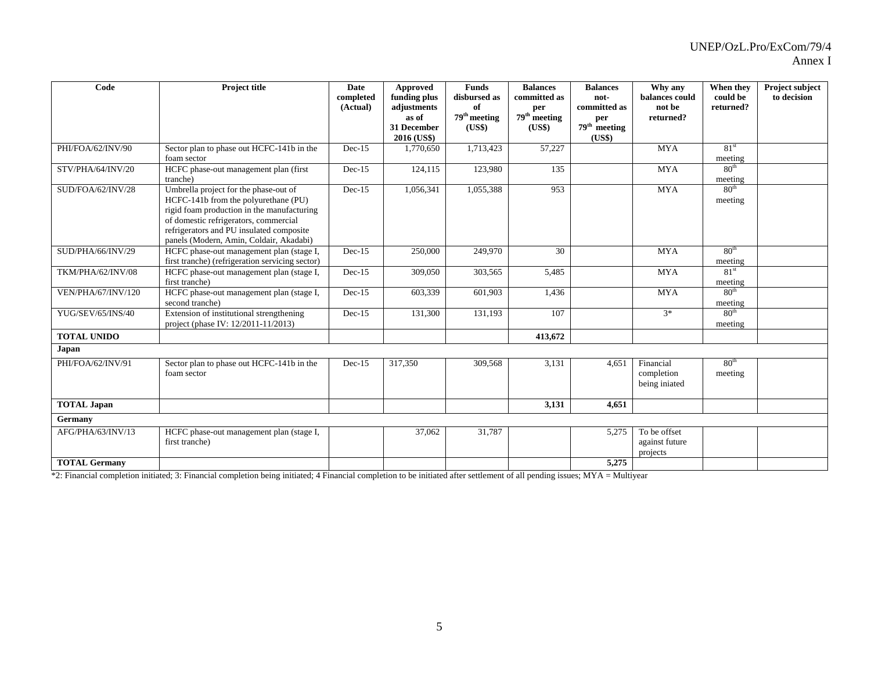| Code                 | <b>Project title</b>                                                                                                                                                                                                                                        | <b>Date</b><br>completed<br>(Actual) | Approved<br>funding plus<br>adjustments<br>as of | <b>Funds</b><br>disbursed as<br>of<br>79 <sup>th</sup> meeting | <b>Balances</b><br>committed as<br>per<br>$79th$ meeting | <b>Balances</b><br>not-<br>committed as<br>per | Why any<br>balances could<br>not be<br>returned? | When they<br>could be<br>returned? | <b>Project subject</b><br>to decision |
|----------------------|-------------------------------------------------------------------------------------------------------------------------------------------------------------------------------------------------------------------------------------------------------------|--------------------------------------|--------------------------------------------------|----------------------------------------------------------------|----------------------------------------------------------|------------------------------------------------|--------------------------------------------------|------------------------------------|---------------------------------------|
|                      |                                                                                                                                                                                                                                                             |                                      | 31 December<br>2016 (US\$)                       | (US\$)                                                         | (US\$)                                                   | $79th$ meeting<br>(US\$)                       |                                                  |                                    |                                       |
| PHI/FOA/62/INV/90    | Sector plan to phase out HCFC-141b in the<br>foam sector                                                                                                                                                                                                    | $Dec-15$                             | 1,770,650                                        | 1,713,423                                                      | 57,227                                                   |                                                | <b>MYA</b>                                       | 81 <sup>st</sup><br>meeting        |                                       |
| STV/PHA/64/INV/20    | HCFC phase-out management plan (first<br>tranche)                                                                                                                                                                                                           | $Dec-15$                             | 124,115                                          | 123,980                                                        | 135                                                      |                                                | <b>MYA</b>                                       | 80 <sup>th</sup><br>meeting        |                                       |
| SUD/FOA/62/INV/28    | Umbrella project for the phase-out of<br>HCFC-141b from the polyurethane (PU)<br>rigid foam production in the manufacturing<br>of domestic refrigerators, commercial<br>refrigerators and PU insulated composite<br>panels (Modern, Amin, Coldair, Akadabi) | $Dec-15$                             | 1,056,341                                        | 1,055,388                                                      | 953                                                      |                                                | <b>MYA</b>                                       | 80 <sup>th</sup><br>meeting        |                                       |
| SUD/PHA/66/INV/29    | HCFC phase-out management plan (stage I,<br>first tranche) (refrigeration servicing sector)                                                                                                                                                                 | $Dec-15$                             | 250,000                                          | 249,970                                                        | 30                                                       |                                                | <b>MYA</b>                                       | 80 <sup>th</sup><br>meeting        |                                       |
| TKM/PHA/62/INV/08    | HCFC phase-out management plan (stage I,<br>first tranche)                                                                                                                                                                                                  | $Dec-15$                             | 309,050                                          | 303,565                                                        | 5,485                                                    |                                                | <b>MYA</b>                                       | 81 <sup>st</sup><br>meeting        |                                       |
| VEN/PHA/67/INV/120   | HCFC phase-out management plan (stage I,<br>second tranche)                                                                                                                                                                                                 | $Dec-15$                             | 603,339                                          | 601,903                                                        | 1,436                                                    |                                                | <b>MYA</b>                                       | 80 <sup>th</sup><br>meeting        |                                       |
| YUG/SEV/65/INS/40    | Extension of institutional strengthening<br>project (phase IV: 12/2011-11/2013)                                                                                                                                                                             | $Dec-15$                             | 131,300                                          | 131,193                                                        | 107                                                      |                                                | $3*$                                             | 80 <sup>th</sup><br>meeting        |                                       |
| <b>TOTAL UNIDO</b>   |                                                                                                                                                                                                                                                             |                                      |                                                  |                                                                | 413,672                                                  |                                                |                                                  |                                    |                                       |
| Japan                |                                                                                                                                                                                                                                                             |                                      |                                                  |                                                                |                                                          |                                                |                                                  |                                    |                                       |
| PHI/FOA/62/INV/91    | Sector plan to phase out HCFC-141b in the<br>foam sector                                                                                                                                                                                                    | $Dec-15$                             | 317,350                                          | 309,568                                                        | 3,131                                                    | 4.651                                          | Financial<br>completion<br>being iniated         | 80 <sup>th</sup><br>meeting        |                                       |
| <b>TOTAL Japan</b>   |                                                                                                                                                                                                                                                             |                                      |                                                  |                                                                | 3,131                                                    | 4.651                                          |                                                  |                                    |                                       |
| Germany              |                                                                                                                                                                                                                                                             |                                      |                                                  |                                                                |                                                          |                                                |                                                  |                                    |                                       |
| AFG/PHA/63/INV/13    | HCFC phase-out management plan (stage I,<br>first tranche)                                                                                                                                                                                                  |                                      | 37,062                                           | 31,787                                                         |                                                          | 5,275                                          | To be offset<br>against future<br>projects       |                                    |                                       |
| <b>TOTAL Germany</b> |                                                                                                                                                                                                                                                             |                                      |                                                  |                                                                |                                                          | 5,275                                          |                                                  |                                    |                                       |

\*2: Financial completion initiated; 3: Financial completion being initiated; 4 Financial completion to be initiated after settlement of all pending issues; MYA = Multiyear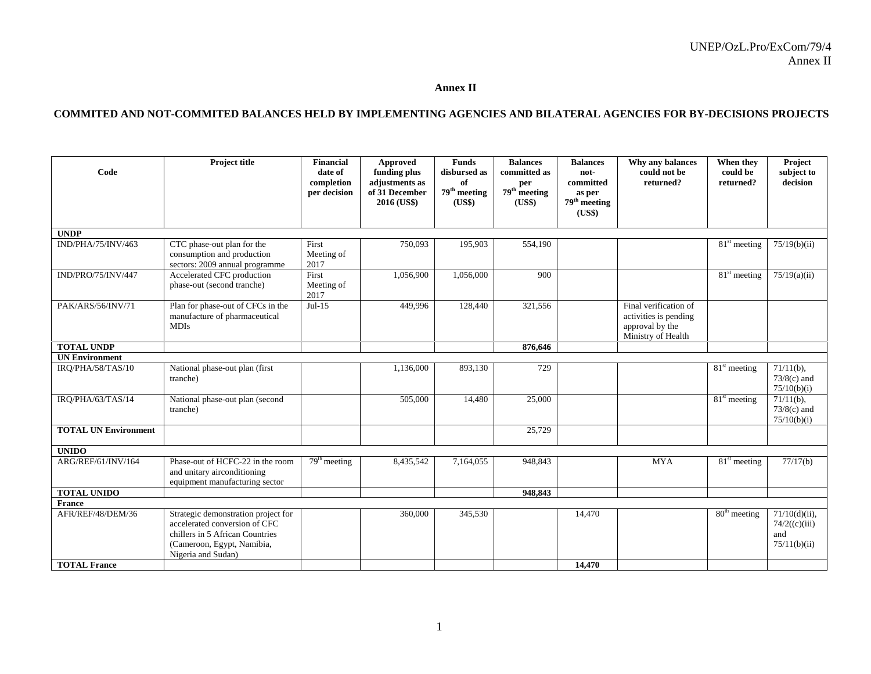#### **Annex II**

#### **COMMITED AND NOT-COMMITED BALANCES HELD BY IMPLEMENTING AGENCIES AND BILATERAL AGENCIES FOR BY-DECISIONS PROJECTS**

| Code                        | <b>Project title</b>                                                                                                                                        | <b>Financial</b><br>date of<br>completion<br>per decision | Approved<br>funding plus<br>adjustments as<br>of 31 December<br>2016 (US\$) | <b>Funds</b><br>disbursed as<br>of<br>$79^{\rm th}$ meeting<br>(US\$) | <b>Balances</b><br>committed as<br>per<br>$79th$ meeting<br>(US\$) | <b>Balances</b><br>not-<br>committed<br>as per<br>$79th$ meeting<br>(US\$) | Why any balances<br>could not be<br>returned?                                           | When they<br>could be<br>returned?    | Project<br>subject to<br>decision                         |
|-----------------------------|-------------------------------------------------------------------------------------------------------------------------------------------------------------|-----------------------------------------------------------|-----------------------------------------------------------------------------|-----------------------------------------------------------------------|--------------------------------------------------------------------|----------------------------------------------------------------------------|-----------------------------------------------------------------------------------------|---------------------------------------|-----------------------------------------------------------|
| <b>UNDP</b>                 |                                                                                                                                                             |                                                           |                                                                             |                                                                       |                                                                    |                                                                            |                                                                                         |                                       |                                                           |
| IND/PHA/75/INV/463          | CTC phase-out plan for the<br>consumption and production<br>sectors: 2009 annual programme                                                                  | First<br>Meeting of<br>2017                               | 750,093                                                                     | 195,903                                                               | 554,190                                                            |                                                                            |                                                                                         | $\overline{81}$ <sup>st</sup> meeting | 75/19(b)(ii)                                              |
| IND/PRO/75/INV/447          | Accelerated CFC production<br>phase-out (second tranche)                                                                                                    | First<br>Meeting of<br>2017                               | 1,056,900                                                                   | 1,056,000                                                             | 900                                                                |                                                                            |                                                                                         | $81st$ meeting                        | 75/19(a)(ii)                                              |
| PAK/ARS/56/INV/71           | Plan for phase-out of CFCs in the<br>manufacture of pharmaceutical<br><b>MDIs</b>                                                                           | $Jul-15$                                                  | 449,996                                                                     | 128,440                                                               | 321,556                                                            |                                                                            | Final verification of<br>activities is pending<br>approval by the<br>Ministry of Health |                                       |                                                           |
| <b>TOTAL UNDP</b>           |                                                                                                                                                             |                                                           |                                                                             |                                                                       | 876,646                                                            |                                                                            |                                                                                         |                                       |                                                           |
| <b>UN Environment</b>       |                                                                                                                                                             |                                                           |                                                                             |                                                                       |                                                                    |                                                                            |                                                                                         |                                       |                                                           |
| IRO/PHA/58/TAS/10           | National phase-out plan (first<br>tranche)                                                                                                                  |                                                           | 1,136,000                                                                   | 893,130                                                               | 729                                                                |                                                                            |                                                                                         | $81st$ meeting                        | $71/11(b)$ ,<br>$73/8(c)$ and<br>75/10(b)(i)              |
| IRQ/PHA/63/TAS/14           | National phase-out plan (second<br>tranche)                                                                                                                 |                                                           | 505,000                                                                     | 14,480                                                                | 25,000                                                             |                                                                            |                                                                                         | $81st$ meeting                        | $\overline{71/11}$ (b),<br>$73/8(c)$ and<br>75/10(b)(i)   |
| <b>TOTAL UN Environment</b> |                                                                                                                                                             |                                                           |                                                                             |                                                                       | 25,729                                                             |                                                                            |                                                                                         |                                       |                                                           |
| <b>UNIDO</b>                |                                                                                                                                                             |                                                           |                                                                             |                                                                       |                                                                    |                                                                            |                                                                                         |                                       |                                                           |
| ARG/REF/61/INV/164          | Phase-out of HCFC-22 in the room<br>and unitary airconditioning<br>equipment manufacturing sector                                                           | $79th$ meeting                                            | 8,435,542                                                                   | 7,164,055                                                             | 948,843                                                            |                                                                            | <b>MYA</b>                                                                              | $81st$ meeting                        | 77/17(b)                                                  |
| <b>TOTAL UNIDO</b>          |                                                                                                                                                             |                                                           |                                                                             |                                                                       | 948.843                                                            |                                                                            |                                                                                         |                                       |                                                           |
| <b>France</b>               |                                                                                                                                                             |                                                           |                                                                             |                                                                       |                                                                    |                                                                            |                                                                                         |                                       |                                                           |
| AFR/REF/48/DEM/36           | Strategic demonstration project for<br>accelerated conversion of CFC<br>chillers in 5 African Countries<br>(Cameroon, Egypt, Namibia,<br>Nigeria and Sudan) |                                                           | 360,000                                                                     | 345,530                                                               |                                                                    | 14,470                                                                     |                                                                                         | 80 <sup>th</sup> meeting              | $71/10(d)(ii)$ ,<br>74/2((c)(iii))<br>and<br>75/11(b)(ii) |
| <b>TOTAL France</b>         |                                                                                                                                                             |                                                           |                                                                             |                                                                       |                                                                    | 14,470                                                                     |                                                                                         |                                       |                                                           |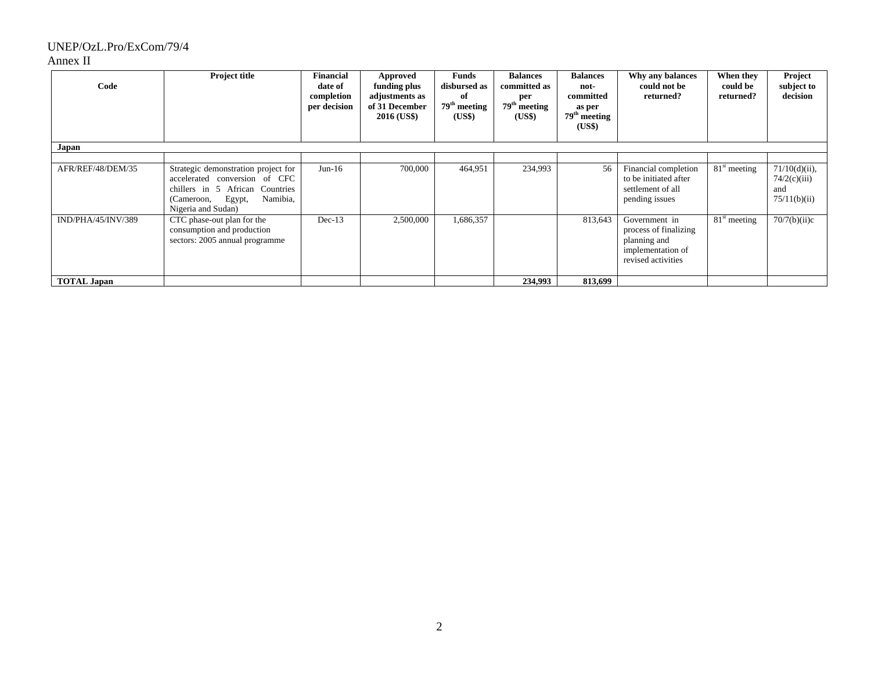## UNEP/OzL.Pro/ExCom/79/4

#### Annex II

| Code<br>Japan      | <b>Project title</b>                                                                                                                                              | <b>Financial</b><br>date of<br>completion<br>per decision | Approved<br>funding plus<br>adjustments as<br>of 31 December<br><b>2016 (US\$)</b> | Funds<br>disbursed as<br>оf<br>$79th$ meeting<br>(US\$) | <b>Balances</b><br>committed as<br>per<br>79 <sup>th</sup> meeting<br>(US\$) | <b>Balances</b><br>not-<br>committed<br>as per<br>$79^{\rm th}$ meeting<br>(US\$) | Why any balances<br>could not be<br>returned?                                                     | When they<br>could be<br>returned? | Project<br>subject to<br>decision                       |
|--------------------|-------------------------------------------------------------------------------------------------------------------------------------------------------------------|-----------------------------------------------------------|------------------------------------------------------------------------------------|---------------------------------------------------------|------------------------------------------------------------------------------|-----------------------------------------------------------------------------------|---------------------------------------------------------------------------------------------------|------------------------------------|---------------------------------------------------------|
|                    |                                                                                                                                                                   |                                                           |                                                                                    |                                                         |                                                                              |                                                                                   |                                                                                                   |                                    |                                                         |
| AFR/REF/48/DEM/35  | Strategic demonstration project for<br>accelerated conversion of CFC<br>chillers in 5 African Countries<br>Egypt,<br>Namibia,<br>(Cameroon,<br>Nigeria and Sudan) | $Jun-16$                                                  | 700,000                                                                            | 464,951                                                 | 234,993                                                                      | 56                                                                                | Financial completion<br>to be initiated after<br>settlement of all<br>pending issues              | $81st$ meeting                     | $71/10(d)(ii)$ ,<br>74/2(c)(iii)<br>and<br>75/11(b)(ii) |
| IND/PHA/45/INV/389 | CTC phase-out plan for the<br>consumption and production<br>sectors: 2005 annual programme                                                                        | $Dec-13$                                                  | 2,500,000                                                                          | 1,686,357                                               |                                                                              | 813,643                                                                           | Government in<br>process of finalizing<br>planning and<br>implementation of<br>revised activities | $\overline{81}^{\rm st}$ meeting   | 70/7(b)(ii)c                                            |
| <b>TOTAL Japan</b> |                                                                                                                                                                   |                                                           |                                                                                    |                                                         | 234,993                                                                      | 813,699                                                                           |                                                                                                   |                                    |                                                         |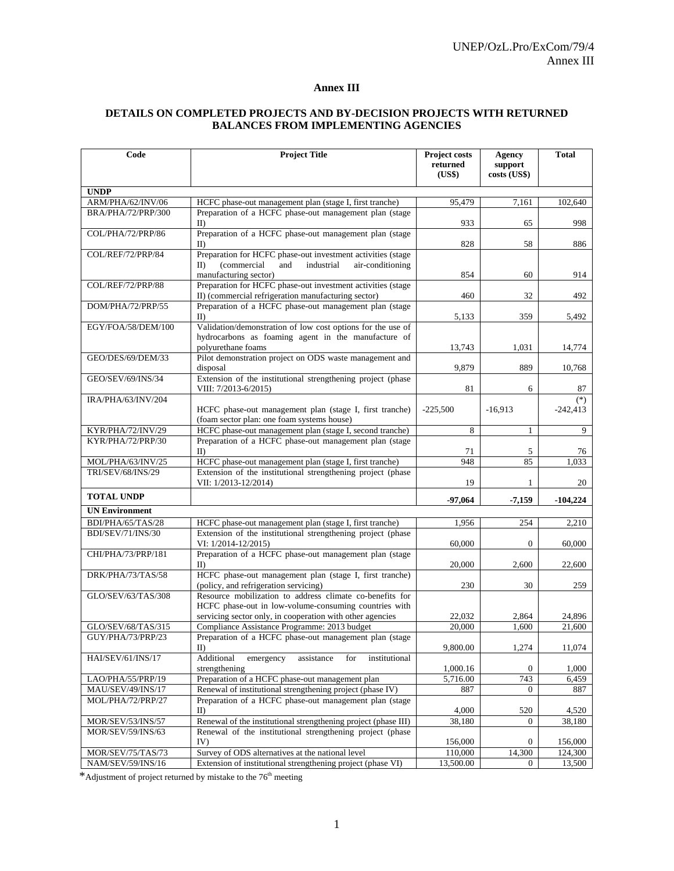#### **Annex III**

#### **DETAILS ON COMPLETED PROJECTS AND BY-DECISION PROJECTS WITH RETURNED BALANCES FROM IMPLEMENTING AGENCIES**

| Code                  | <b>Project Title</b>                                                                                                                                                           | Project costs<br>returned<br>(US\$) | Agency<br>support<br>costs (US\$) | <b>Total</b>        |
|-----------------------|--------------------------------------------------------------------------------------------------------------------------------------------------------------------------------|-------------------------------------|-----------------------------------|---------------------|
| <b>UNDP</b>           |                                                                                                                                                                                |                                     |                                   |                     |
| ARM/PHA/62/INV/06     | HCFC phase-out management plan (stage I, first tranche)                                                                                                                        | 95,479                              | 7,161                             | 102,640             |
| BRA/PHA/72/PRP/300    | Preparation of a HCFC phase-out management plan (stage<br>$_{\text{ID}}$                                                                                                       | 933                                 | 65                                | 998                 |
| COL/PHA/72/PRP/86     | Preparation of a HCFC phase-out management plan (stage<br>$_{\text{ID}}$                                                                                                       | 828                                 | 58                                | 886                 |
| COL/REF/72/PRP/84     | Preparation for HCFC phase-out investment activities (stage<br>(commercial<br>industrial<br>$_{\text{II}}$<br>and<br>air-conditioning<br>manufacturing sector)                 | 854                                 | 60                                | 914                 |
| COL/REF/72/PRP/88     | Preparation for HCFC phase-out investment activities (stage<br>II) (commercial refrigeration manufacturing sector)                                                             | 460                                 | 32                                | 492                 |
| DOM/PHA/72/PRP/55     | Preparation of a HCFC phase-out management plan (stage<br>$_{\rm ID}$                                                                                                          | 5,133                               | 359                               | 5,492               |
| EGY/FOA/58/DEM/100    | Validation/demonstration of low cost options for the use of<br>hydrocarbons as foaming agent in the manufacture of<br>polyurethane foams                                       | 13,743                              | 1,031                             | 14,774              |
| GEO/DES/69/DEM/33     | Pilot demonstration project on ODS waste management and<br>disposal                                                                                                            | 9,879                               | 889                               | 10,768              |
| GEO/SEV/69/INS/34     | Extension of the institutional strengthening project (phase<br>VIII: 7/2013-6/2015)                                                                                            | 81                                  | 6                                 | 87                  |
| IRA/PHA/63/INV/204    | HCFC phase-out management plan (stage I, first tranche)<br>(foam sector plan: one foam systems house)                                                                          | $-225,500$                          | $-16,913$                         | $(*)$<br>$-242,413$ |
| KYR/PHA/72/INV/29     | HCFC phase-out management plan (stage I, second tranche)                                                                                                                       | 8                                   | 1                                 | 9                   |
| KYR/PHA/72/PRP/30     | Preparation of a HCFC phase-out management plan (stage<br>$\mathbf{I}$                                                                                                         | 71                                  | 5                                 | 76                  |
| MOL/PHA/63/INV/25     | HCFC phase-out management plan (stage I, first tranche)                                                                                                                        | 948                                 | 85                                | 1,033               |
| TRI/SEV/68/INS/29     | Extension of the institutional strengthening project (phase<br>VII: 1/2013-12/2014)                                                                                            | 19                                  | 1                                 | 20                  |
| <b>TOTAL UNDP</b>     |                                                                                                                                                                                | -97,064                             | -7,159                            | $-104,224$          |
| <b>UN Environment</b> |                                                                                                                                                                                |                                     |                                   |                     |
| BDI/PHA/65/TAS/28     | HCFC phase-out management plan (stage I, first tranche)                                                                                                                        | 1,956                               | 254                               | 2,210               |
| BDI/SEV/71/INS/30     | Extension of the institutional strengthening project (phase<br>VI: 1/2014-12/2015)                                                                                             | 60,000                              | $\mathbf{0}$                      | 60,000              |
| CHI/PHA/73/PRP/181    | Preparation of a HCFC phase-out management plan (stage<br>$\mathbf{I}$                                                                                                         | 20,000                              | 2,600                             | 22,600              |
| DRK/PHA/73/TAS/58     | HCFC phase-out management plan (stage I, first tranche)<br>(policy, and refrigeration servicing)                                                                               | 230                                 | 30                                | 259                 |
| GLO/SEV/63/TAS/308    | Resource mobilization to address climate co-benefits for<br>HCFC phase-out in low-volume-consuming countries with<br>servicing sector only, in cooperation with other agencies | 22,032                              | 2,864                             | 24,896              |
| GLO/SEV/68/TAS/315    | Compliance Assistance Programme: 2013 budget                                                                                                                                   | 20.000                              | 1,600                             | 21,600              |
| GUY/PHA/73/PRP/23     | Preparation of a HCFC phase-out management plan (stage<br>II                                                                                                                   | 9,800.00                            | 1,274                             | 11,074              |
| HAI/SEV/61/INS/17     | Additional<br>assistance<br>for<br>institutional<br>emergency<br>strengthening                                                                                                 | 1,000.16                            | $\overline{0}$                    | 1,000               |
| LAO/PHA/55/PRP/19     | Preparation of a HCFC phase-out management plan                                                                                                                                | 5,716.00                            | 743                               | 6,459               |
| MAU/SEV/49/INS/17     | Renewal of institutional strengthening project (phase IV)                                                                                                                      | 887                                 | $\theta$                          | 887                 |
| MOL/PHA/72/PRP/27     | Preparation of a HCFC phase-out management plan (stage<br>$_{\text{II}}$                                                                                                       | 4,000                               | 520                               | 4,520               |
| MOR/SEV/53/INS/57     | Renewal of the institutional strengthening project (phase III)                                                                                                                 | 38,180                              | $\overline{0}$                    | 38,180              |
| MOR/SEV/59/INS/63     | Renewal of the institutional strengthening project (phase<br>IV)                                                                                                               | 156,000                             | $\overline{0}$                    | 156,000             |
| MOR/SEV/75/TAS/73     | Survey of ODS alternatives at the national level                                                                                                                               | 110,000                             | 14,300                            | 124,300             |
| NAM/SEV/59/INS/16     | Extension of institutional strengthening project (phase VI)                                                                                                                    | 13,500.00                           | $\overline{0}$                    | 13,500              |

\*Adjustment of project returned by mistake to the 76<sup>th</sup> meeting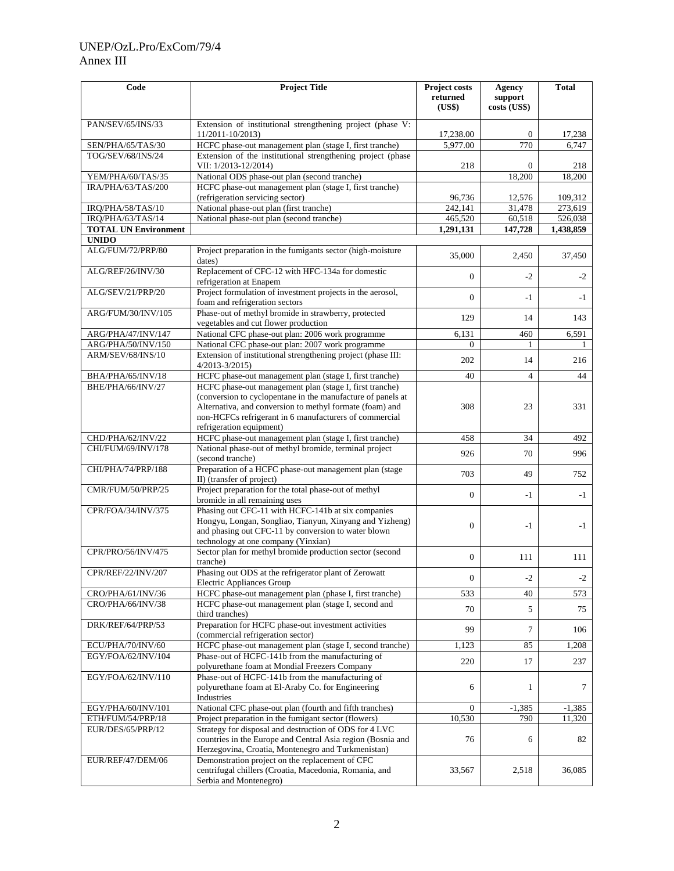### UNEP/OzL.Pro/ExCom/79/4 Annex III

| Code                        | <b>Project Title</b>                                                                                                                                                                                                                                                     | <b>Project costs</b><br>returned<br>(US\$) | Agency<br>support<br>costs (US\$) | <b>Total</b> |
|-----------------------------|--------------------------------------------------------------------------------------------------------------------------------------------------------------------------------------------------------------------------------------------------------------------------|--------------------------------------------|-----------------------------------|--------------|
| PAN/SEV/65/INS/33           | Extension of institutional strengthening project (phase V:<br>11/2011-10/2013)                                                                                                                                                                                           | 17,238.00                                  | $\theta$                          | 17,238       |
| SEN/PHA/65/TAS/30           | HCFC phase-out management plan (stage I, first tranche)                                                                                                                                                                                                                  | 5,977.00                                   | 770                               | 6,747        |
| TOG/SEV/68/INS/24           | Extension of the institutional strengthening project (phase<br>VII: 1/2013-12/2014)                                                                                                                                                                                      | 218                                        | $\Omega$                          | 218          |
| YEM/PHA/60/TAS/35           | National ODS phase-out plan (second tranche)                                                                                                                                                                                                                             |                                            | 18,200                            | 18,200       |
| IRA/PHA/63/TAS/200          | HCFC phase-out management plan (stage I, first tranche)<br>(refrigeration servicing sector)                                                                                                                                                                              | 96,736                                     | 12,576                            | 109,312      |
| IRQ/PHA/58/TAS/10           | National phase-out plan (first tranche)                                                                                                                                                                                                                                  | 242,141                                    | 31,478                            | 273,619      |
| IRQ/PHA/63/TAS/14           | National phase-out plan (second tranche)                                                                                                                                                                                                                                 | 465,520                                    | 60,518                            | 526,038      |
| <b>TOTAL UN Environment</b> |                                                                                                                                                                                                                                                                          | 1,291,131                                  | 147,728                           | 1,438,859    |
| <b>UNIDO</b>                |                                                                                                                                                                                                                                                                          |                                            |                                   |              |
| ALG/FUM/72/PRP/80           | Project preparation in the fumigants sector (high-moisture<br>dates)                                                                                                                                                                                                     | 35,000                                     | 2,450                             | 37,450       |
| ALG/REF/26/INV/30           | Replacement of CFC-12 with HFC-134a for domestic<br>refrigeration at Enapem                                                                                                                                                                                              | $\mathbf{0}$                               | $-2$                              | $-2$         |
| ALG/SEV/21/PRP/20           | Project formulation of investment projects in the aerosol,<br>foam and refrigeration sectors                                                                                                                                                                             | $\mathbf{0}$                               | $-1$                              | $-1$         |
| ARG/FUM/30/INV/105          | Phase-out of methyl bromide in strawberry, protected<br>vegetables and cut flower production                                                                                                                                                                             | 129                                        | 14                                | 143          |
| ARG/PHA/47/INV/147          | National CFC phase-out plan: 2006 work programme                                                                                                                                                                                                                         | 6,131                                      | 460                               | 6,591        |
| ARG/PHA/50/INV/150          | National CFC phase-out plan: 2007 work programme                                                                                                                                                                                                                         | $\overline{0}$                             |                                   |              |
| ARM/SEV/68/INS/10           | Extension of institutional strengthening project (phase III:<br>$4/2013 - 3/2015$                                                                                                                                                                                        | 202                                        | 14                                | 216          |
| BHA/PHA/65/INV/18           | HCFC phase-out management plan (stage I, first tranche)                                                                                                                                                                                                                  | 40                                         | $\overline{4}$                    | 44           |
| BHE/PHA/66/INV/27           | HCFC phase-out management plan (stage I, first tranche)<br>(conversion to cyclopentane in the manufacture of panels at<br>Alternativa, and conversion to methyl formate (foam) and<br>non-HCFCs refrigerant in 6 manufacturers of commercial<br>refrigeration equipment) | 308                                        | 23                                | 331          |
| CHD/PHA/62/INV/22           | HCFC phase-out management plan (stage I, first tranche)                                                                                                                                                                                                                  | 458                                        | 34                                | 492          |
| CHI/FUM/69/INV/178          | National phase-out of methyl bromide, terminal project<br>(second tranche)                                                                                                                                                                                               | 926                                        | 70                                | 996          |
| CHI/PHA/74/PRP/188          | Preparation of a HCFC phase-out management plan (stage<br>II) (transfer of project)                                                                                                                                                                                      | 703                                        | 49                                | 752          |
| CMR/FUM/50/PRP/25           | Project preparation for the total phase-out of methyl<br>bromide in all remaining uses                                                                                                                                                                                   | $\mathbf{0}$                               | -1                                | $-1$         |
| CPR/FOA/34/INV/375          | Phasing out CFC-11 with HCFC-141b at six companies<br>Hongyu, Longan, Songliao, Tianyun, Xinyang and Yizheng)<br>and phasing out CFC-11 by conversion to water blown<br>technology at one company (Yinxian)                                                              | $\mathbf{0}$                               | $-1$                              | $-1$         |
| CPR/PRO/56/INV/475          | Sector plan for methyl bromide production sector (second<br>tranche)                                                                                                                                                                                                     | $\mathbf{0}$                               | 111                               | 111          |
| CPR/REF/22/INV/207          | Phasing out ODS at the refrigerator plant of Zerowatt<br><b>Electric Appliances Group</b>                                                                                                                                                                                | $\mathbf{0}$                               | $-2$                              | $-2$         |
| CRO/PHA/61/INV/36           | HCFC phase-out management plan (phase I, first tranche)                                                                                                                                                                                                                  | 533                                        | 40                                | 573          |
| CRO/PHA/66/INV/38           | HCFC phase-out management plan (stage I, second and<br>third tranches)                                                                                                                                                                                                   | 70                                         | 5                                 | 75           |
| DRK/REF/64/PRP/53           | Preparation for HCFC phase-out investment activities<br>(commercial refrigeration sector)                                                                                                                                                                                | 99                                         | 7                                 | 106          |
| ECU/PHA/70/INV/60           | HCFC phase-out management plan (stage I, second tranche)                                                                                                                                                                                                                 | 1,123                                      | 85                                | 1,208        |
| EGY/FOA/62/INV/104          | Phase-out of HCFC-141b from the manufacturing of<br>polyurethane foam at Mondial Freezers Company                                                                                                                                                                        | 220                                        | 17                                | 237          |
| EGY/FOA/62/INV/110          | Phase-out of HCFC-141b from the manufacturing of<br>polyurethane foam at El-Araby Co. for Engineering<br>Industries                                                                                                                                                      | 6                                          | 1                                 | 7            |
| EGY/PHA/60/INV/101          | National CFC phase-out plan (fourth and fifth tranches)                                                                                                                                                                                                                  | $\mathbf{0}$                               | $-1,385$                          | $-1,385$     |
| ETH/FUM/54/PRP/18           | Project preparation in the fumigant sector (flowers)                                                                                                                                                                                                                     | 10,530                                     | 790                               | 11,320       |
| EUR/DES/65/PRP/12           | Strategy for disposal and destruction of ODS for 4 LVC<br>countries in the Europe and Central Asia region (Bosnia and<br>Herzegovina, Croatia, Montenegro and Turkmenistan)                                                                                              | 76                                         | 6                                 | 82           |
| EUR/REF/47/DEM/06           | Demonstration project on the replacement of CFC<br>centrifugal chillers (Croatia, Macedonia, Romania, and<br>Serbia and Montenegro)                                                                                                                                      | 33,567                                     | 2,518                             | 36,085       |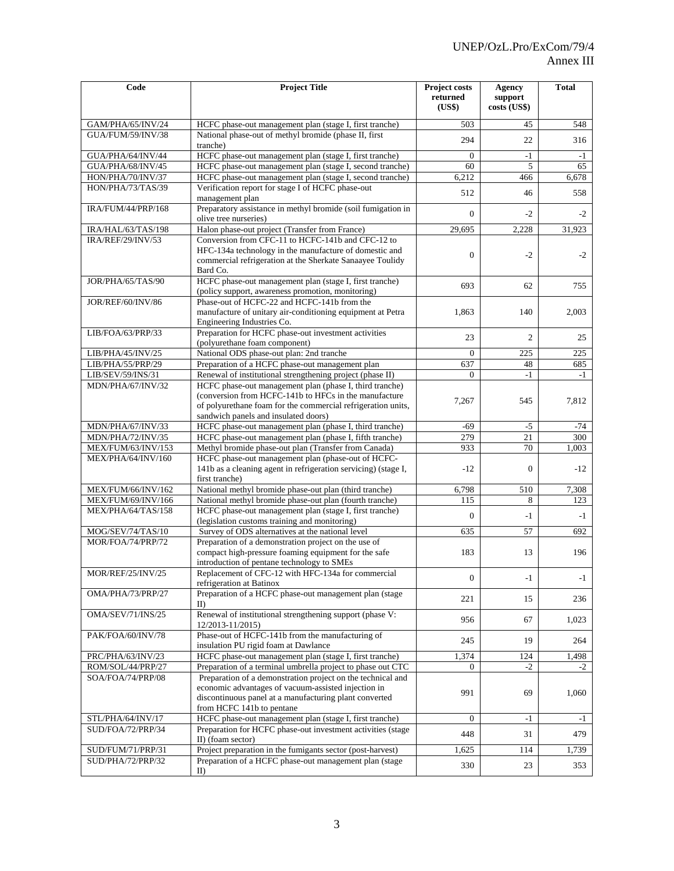| Code                      | <b>Project Title</b>                                                                                                                                                                                                      | <b>Project costs</b><br>returned<br>(US\$) | <b>Agency</b><br>support<br>costs (US\$) | <b>Total</b> |
|---------------------------|---------------------------------------------------------------------------------------------------------------------------------------------------------------------------------------------------------------------------|--------------------------------------------|------------------------------------------|--------------|
| GAM/PHA/65/INV/24         | HCFC phase-out management plan (stage I, first tranche)                                                                                                                                                                   | 503                                        | 45                                       | 548          |
| GUA/FUM/59/INV/38         | National phase-out of methyl bromide (phase II, first<br>tranche)                                                                                                                                                         | 294                                        | 22                                       | 316          |
| GUA/PHA/64/INV/44         | HCFC phase-out management plan (stage I, first tranche)                                                                                                                                                                   | $\Omega$                                   | $-1$                                     | $-1$         |
| GUA/PHA/68/INV/45         | HCFC phase-out management plan (stage I, second tranche)                                                                                                                                                                  | 60                                         | 5                                        | 65           |
| HON/PHA/70/INV/37         | HCFC phase-out management plan (stage I, second tranche)                                                                                                                                                                  | 6,212                                      | 466                                      | 6,678        |
| HON/PHA/73/TAS/39         | Verification report for stage I of HCFC phase-out<br>management plan                                                                                                                                                      | 512                                        | 46                                       | 558          |
| IRA/FUM/44/PRP/168        | Preparatory assistance in methyl bromide (soil fumigation in<br>olive tree nurseries)                                                                                                                                     | $\mathbf{0}$                               | $-2$                                     | $-2$         |
| IRA/HAL/63/TAS/198        | Halon phase-out project (Transfer from France)                                                                                                                                                                            | 29,695                                     | 2,228                                    | 31,923       |
| <b>IRA/REF/29/INV/53</b>  | Conversion from CFC-11 to HCFC-141b and CFC-12 to<br>HFC-134a technology in the manufacture of domestic and<br>commercial refrigeration at the Sherkate Sanaayee Toulidy<br>Bard Co.                                      | $\Omega$                                   | $-2$                                     | $-2$         |
| JOR/PHA/65/TAS/90         | HCFC phase-out management plan (stage I, first tranche)<br>(policy support, awareness promotion, monitoring)                                                                                                              | 693                                        | 62                                       | 755          |
| JOR/REF/60/INV/86         | Phase-out of HCFC-22 and HCFC-141b from the<br>manufacture of unitary air-conditioning equipment at Petra<br>Engineering Industries Co.                                                                                   | 1,863                                      | 140                                      | 2,003        |
| LIB/FOA/63/PRP/33         | Preparation for HCFC phase-out investment activities<br>(polyurethane foam component)                                                                                                                                     | 23                                         | $\overline{c}$                           | 25           |
| LIB/PHA/45/INV/25         | National ODS phase-out plan: 2nd tranche                                                                                                                                                                                  | 0                                          | 225                                      | 225          |
| LIB/PHA/55/PRP/29         | Preparation of a HCFC phase-out management plan                                                                                                                                                                           | 637                                        | 48                                       | 685          |
| LIB/SEV/59/INS/31         | Renewal of institutional strengthening project (phase II)                                                                                                                                                                 | $\Omega$                                   | $-1$                                     | $-1$         |
| MDN/PHA/67/INV/32         | HCFC phase-out management plan (phase I, third tranche)<br>(conversion from HCFC-141b to HFCs in the manufacture)<br>of polyurethane foam for the commercial refrigeration units,<br>sandwich panels and insulated doors) | 7,267                                      | 545                                      | 7,812        |
| MDN/PHA/67/INV/33         | HCFC phase-out management plan (phase I, third tranche)                                                                                                                                                                   | -69                                        | $-5$                                     | $-74$        |
| MDN/PHA/72/INV/35         | HCFC phase-out management plan (phase I, fifth tranche)                                                                                                                                                                   | 279                                        | 21                                       | 300          |
| <b>MEX/FUM/63/INV/153</b> | Methyl bromide phase-out plan (Transfer from Canada)                                                                                                                                                                      | 933                                        | 70                                       | 1,003        |
| MEX/PHA/64/INV/160        | HCFC phase-out management plan (phase-out of HCFC-<br>141b as a cleaning agent in refrigeration servicing) (stage I,<br>first tranche)                                                                                    | $-12$                                      | $\mathbf{0}$                             | $-12$        |
| MEX/FUM/66/INV/162        | National methyl bromide phase-out plan (third tranche)                                                                                                                                                                    | 6,798                                      | 510                                      | 7,308        |
| MEX/FUM/69/INV/166        | National methyl bromide phase-out plan (fourth tranche)                                                                                                                                                                   | 115                                        | 8                                        | 123          |
| MEX/PHA/64/TAS/158        | HCFC phase-out management plan (stage I, first tranche)<br>(legislation customs training and monitoring)                                                                                                                  | $\Omega$                                   | $-1$                                     | $-1$         |
| MOG/SEV/74/TAS/10         | Survey of ODS alternatives at the national level                                                                                                                                                                          | 635                                        | 57                                       | 692          |
| MOR/FOA/74/PRP/72         | Preparation of a demonstration project on the use of<br>compact high-pressure foaming equipment for the safe<br>introduction of pentane technology to SMEs                                                                | 183                                        | 13                                       | 196          |
| MOR/REF/25/INV/25         | Replacement of CFC-12 with HFC-134a for commercial<br>refrigeration at Batinox                                                                                                                                            | $\boldsymbol{0}$                           | $-1$                                     | $-1$         |
| OMA/PHA/73/PRP/27         | Preparation of a HCFC phase-out management plan (stage<br>II                                                                                                                                                              | 221                                        | 15                                       | 236          |
| OMA/SEV/71/INS/25         | Renewal of institutional strengthening support (phase V:<br>12/2013-11/2015)                                                                                                                                              | 956                                        | 67                                       | 1,023        |
| PAK/FOA/60/INV/78         | Phase-out of HCFC-141b from the manufacturing of<br>insulation PU rigid foam at Dawlance                                                                                                                                  | 245                                        | 19                                       | 264          |
| PRC/PHA/63/INV/23         | HCFC phase-out management plan (stage I, first tranche)                                                                                                                                                                   | 1,374                                      | 124                                      | 1,498        |
| ROM/SOL/44/PRP/27         | Preparation of a terminal umbrella project to phase out CTC                                                                                                                                                               | $\overline{0}$                             | -2                                       | $-2$         |
| SOA/FOA/74/PRP/08         | Preparation of a demonstration project on the technical and<br>economic advantages of vacuum-assisted injection in<br>discontinuous panel at a manufacturing plant converted<br>from HCFC 141b to pentane                 | 991                                        | 69                                       | 1,060        |
| STL/PHA/64/INV/17         | HCFC phase-out management plan (stage I, first tranche)                                                                                                                                                                   | $\mathbf{0}$                               | $-1$                                     | $-1$         |
| SUD/FOA/72/PRP/34         | Preparation for HCFC phase-out investment activities (stage<br>II) (foam sector)                                                                                                                                          | 448                                        | 31                                       | 479          |
| SUD/FUM/71/PRP/31         | Project preparation in the fumigants sector (post-harvest)                                                                                                                                                                | 1,625                                      | 114                                      | 1,739        |
| SUD/PHA/72/PRP/32         | Preparation of a HCFC phase-out management plan (stage<br>$_{\text{II}}$                                                                                                                                                  | 330                                        | 23                                       | 353          |